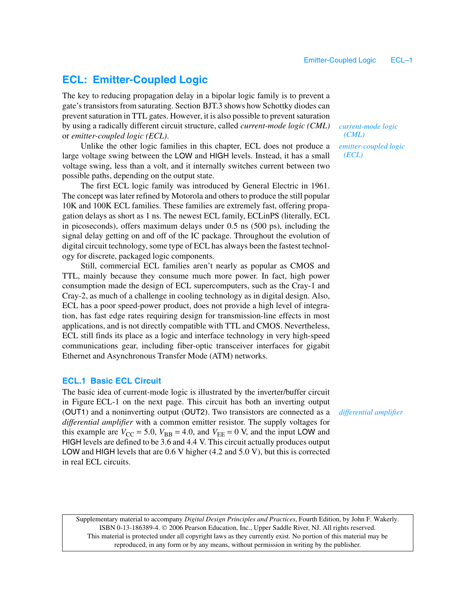# **ECL: Emitter-Coupled Logic**

The key to reducing propagation delay in a bipolar logic family is to prevent a gate's transistors from saturating. Section BJT.3 shows how Schottky diodes can prevent saturation in TTL gates. However, it is also possible to prevent saturation by using a radically different circuit structure, called *current-mode logic (CML)* or *emitter-coupled logic (ECL)*.

Unlike the other logic families in this chapter, ECL does not produce a large voltage swing between the LOW and HIGH levels. Instead, it has a small voltage swing, less than a volt, and it internally switches current between two possible paths, depending on the output state.

The first ECL logic family was introduced by General Electric in 1961. The concept was later refined by Motorola and others to produce the still popular 10K and 100K ECL families. These families are extremely fast, offering propagation delays as short as 1 ns. The newest ECL family, ECLinPS (literally, ECL in picoseconds), offers maximum delays under 0.5 ns (500 ps), including the signal delay getting on and off of the IC package. Throughout the evolution of digital circuit technology, some type of ECL has always been the fastest technology for discrete, packaged logic components.

Still, commercial ECL families aren't nearly as popular as CMOS and TTL, mainly because they consume much more power. In fact, high power consumption made the design of ECL supercomputers, such as the Cray-1 and Cray-2, as much of a challenge in cooling technology as in digital design. Also, ECL has a poor speed-power product, does not provide a high level of integration, has fast edge rates requiring design for transmission-line effects in most applications, and is not directly compatible with TTL and CMOS. Nevertheless, ECL still finds its place as a logic and interface technology in very high-speed communications gear, including fiber-optic transceiver interfaces for gigabit Ethernet and Asynchronous Transfer Mode (ATM) networks.

## **ECL.1 Basic ECL Circuit**

The basic idea of current-mode logic is illustrated by the inverter/buffer circuit in Figure ECL-1 on the next page. This circuit has both an inverting output (OUT1) and a noninverting output (OUT2). Two transistors are connected as a *differential amplifier* with a common emitter resistor. The supply voltages for this example are  $V_{\text{CC}} = 5.0$ ,  $V_{\text{BB}} = 4.0$ , and  $V_{\text{EE}} = 0$  V, and the input LOW and HIGH levels are defined to be 3.6 and 4.4 V. This circuit actually produces output LOW and HIGH levels that are 0.6 V higher (4.2 and 5.0 V), but this is corrected in real ECL circuits.

*current-mode logic (CML) emitter-coupled logic (ECL)*

*differential amplifier*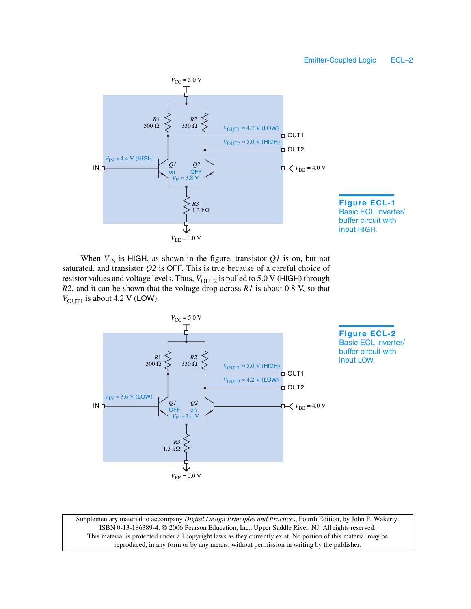



When  $V_{\text{IN}}$  is HIGH, as shown in the figure, transistor  $QI$  is on, but not saturated, and transistor *Q2* is OFF. This is true because of a careful choice of resistor values and voltage levels. Thus,  $V_{\text{OUT2}}$  is pulled to 5.0 V (HIGH) through *R2*, and it can be shown that the voltage drop across *R1* is about 0.8 V, so that  $V_{\text{OUT1}}$  is about 4.2 V (LOW).



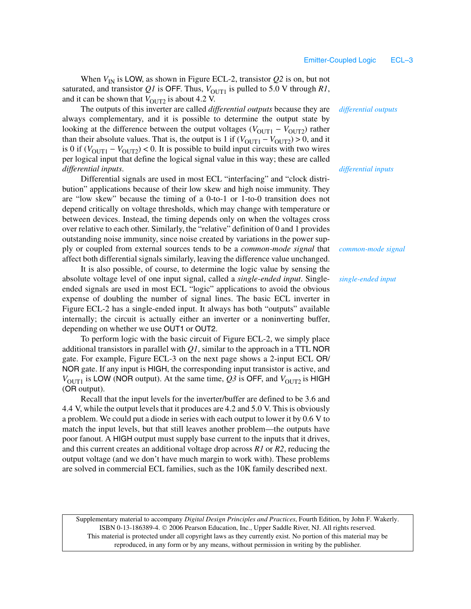When  $V_{\text{IN}}$  is LOW, as shown in Figure ECL-2, transistor  $Q2$  is on, but not saturated, and transistor  $QI$  is OFF. Thus,  $V_{\text{OUT1}}$  is pulled to 5.0 V through  $RI$ , and it can be shown that  $V_{\text{OUT2}}$  is about 4.2 V.

The outputs of this inverter are called *differential outputs* because they are always complementary, and it is possible to determine the output state by looking at the difference between the output voltages ( $V_{\text{OUT1}} - V_{\text{OUT2}}$ ) rather than their absolute values. That is, the output is 1 if  $(V_{\text{OUT1}} - V_{\text{OUT2}}) > 0$ , and it is 0 if  $(V_{\text{OUT1}} - V_{\text{OUT2}})$  < 0. It is possible to build input circuits with two wires per logical input that define the logical signal value in this way; these are called *differential inputs*.

Differential signals are used in most ECL "interfacing" and "clock distribution" applications because of their low skew and high noise immunity. They are "low skew" because the timing of a 0-to-1 or 1-to-0 transition does not depend critically on voltage thresholds, which may change with temperature or between devices. Instead, the timing depends only on when the voltages cross over relative to each other. Similarly, the "relative" definition of 0 and 1 provides outstanding noise immunity, since noise created by variations in the power supply or coupled from external sources tends to be a *common-mode signal* that affect both differential signals similarly, leaving the difference value unchanged.

It is also possible, of course, to determine the logic value by sensing the absolute voltage level of one input signal, called a *single-ended input*. Singleended signals are used in most ECL "logic" applications to avoid the obvious expense of doubling the number of signal lines. The basic ECL inverter in Figure ECL-2 has a single-ended input. It always has both "outputs" available internally; the circuit is actually either an inverter or a noninverting buffer, depending on whether we use OUT1 or OUT2.

To perform logic with the basic circuit of Figure ECL-2, we simply place additional transistors in parallel with *Q1*, similar to the approach in a TTL NOR gate. For example, Figure ECL-3 on the next page shows a 2-input ECL OR/ NOR gate. If any input is HIGH, the corresponding input transistor is active, and  $V_{\text{OUT1}}$  is LOW (NOR output). At the same time,  $Q_3$  is OFF, and  $V_{\text{OUT2}}$  is HIGH (OR output).

Recall that the input levels for the inverter/buffer are defined to be 3.6 and 4.4 V, while the output levels that it produces are 4.2 and 5.0 V. This is obviously a problem. We could put a diode in series with each output to lower it by 0.6 V to match the input levels, but that still leaves another problem—the outputs have poor fanout. A HIGH output must supply base current to the inputs that it drives, and this current creates an additional voltage drop across *R1* or *R2*, reducing the output voltage (and we don't have much margin to work with). These problems are solved in commercial ECL families, such as the 10K family described next.

*differential outputs*

*differential inputs*

*common-mode signal*

#### *single-ended input*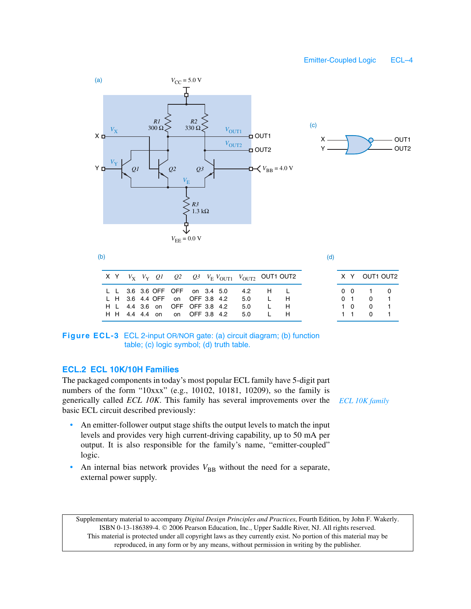



(d)

|                                                                                                    |  |  |  | X Y $V_X$ $V_Y$ $Q1$ $Q2$ $Q3$ $V_F V_{\text{OUT1}}$ $V_{\text{OUT2}}$ OUT1 OUT2 |                                                                                    |   |
|----------------------------------------------------------------------------------------------------|--|--|--|----------------------------------------------------------------------------------|------------------------------------------------------------------------------------|---|
| L L 3.6 3.6 OFF OFF on 3.4 5.0<br>L H 3.6 4.4 OFF on OFF 3.8 4.2<br>H L 4.4 3.6 on OFF OFF 3.8 4.2 |  |  |  | 42 H I<br>5.0<br>5.0<br>H H 4.4 4.4 on on OFF 3.8 4.2 5.0                        | $\blacksquare$ $\blacksquare$ $\blacksquare$ $\blacksquare$<br>L<br>$\blacksquare$ | Н |

| x | Υ |   | OUT1 OUT2 |
|---|---|---|-----------|
| 0 | ი | 1 | 0         |
| 0 |   | 0 | 1         |
| 1 | U | 0 | 1         |
|   |   | U | 1         |

**Figure ECL-3** ECL 2-input OR/NOR gate: (a) circuit diagram; (b) function table; (c) logic symbol; (d) truth table.

# **ECL.2 ECL 10K/10H Families**

The packaged components in today's most popular ECL family have 5-digit part numbers of the form "10xxx" (e.g., 10102, 10181, 10209), so the family is generically called *ECL 10K*. This family has several improvements over the basic ECL circuit described previously:

- An emitter-follower output stage shifts the output levels to match the input levels and provides very high current-driving capability, up to 50 mA per output. It is also responsible for the family's name, "emitter-coupled" logic.
- An internal bias network provides  $V_{BB}$  without the need for a separate, external power supply.

*ECL 10K family*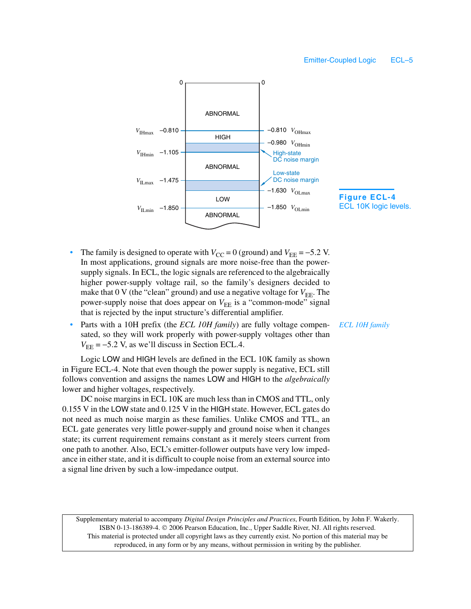

- The family is designed to operate with  $V_{\text{CC}} = 0$  (ground) and  $V_{\text{EE}} = -5.2$  V. In most applications, ground signals are more noise-free than the powersupply signals. In ECL, the logic signals are referenced to the algebraically higher power-supply voltage rail, so the family's designers decided to make that  $0 \text{ V}$  (the "clean" ground) and use a negative voltage for  $V_{\text{EE}}$ . The power-supply noise that does appear on  $V_{EE}$  is a "common-mode" signal that is rejected by the input structure's differential amplifier.
- Parts with a 10H prefix (the *ECL 10H family*) are fully voltage compensated, so they will work properly with power-supply voltages other than  $V_{\text{EE}} = -5.2$  V, as we'll discuss in Section ECL.4.

Logic LOW and HIGH levels are defined in the ECL 10K family as shown in Figure ECL-4. Note that even though the power supply is negative, ECL still follows convention and assigns the names LOW and HIGH to the *algebraically* lower and higher voltages, respectively.

DC noise margins in ECL 10K are much less than in CMOS and TTL, only 0.155 V in the LOW state and 0.125 V in the HIGH state. However, ECL gates do not need as much noise margin as these families. Unlike CMOS and TTL, an ECL gate generates very little power-supply and ground noise when it changes state; its current requirement remains constant as it merely steers current from one path to another. Also, ECL's emitter-follower outputs have very low impedance in either state, and it is difficult to couple noise from an external source into a signal line driven by such a low-impedance output.

Supplementary material to accompany *Digital Design Principles and Practices*, Fourth Edition, by John F. Wakerly. ISBN 0-13-186389-4. 2006 Pearson Education, Inc., Upper Saddle River, NJ. All rights reserved. This material is protected under all copyright laws as they currently exist. No portion of this material may be reproduced, in any form or by any means, without permission in writing by the publisher.

*ECL 10H family*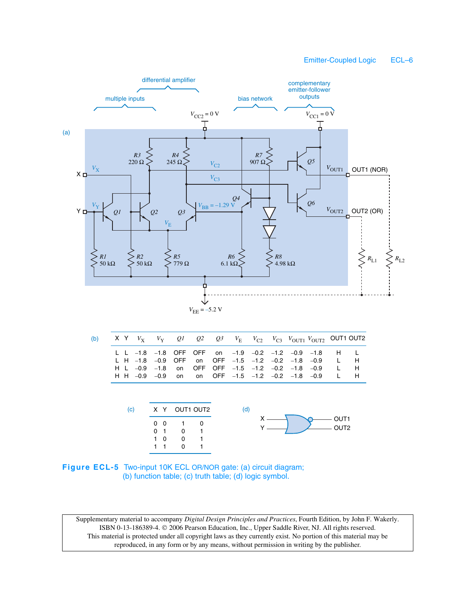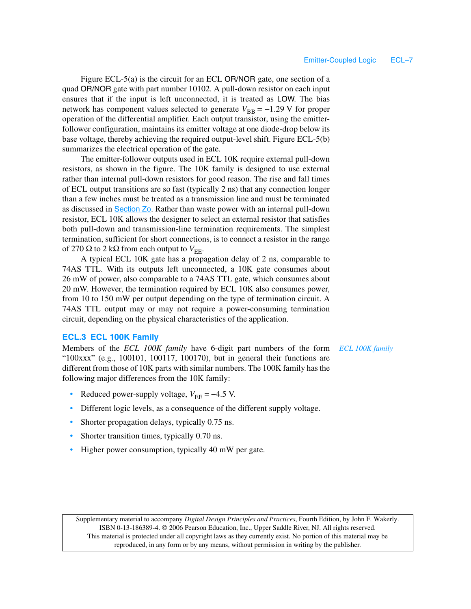Figure ECL-5(a) is the circuit for an ECL OR/NOR gate, one section of a quad OR/NOR gate with part number 10102. A pull-down resistor on each input ensures that if the input is left unconnected, it is treated as LOW. The bias network has component values selected to generate  $V_{\text{BB}} = -1.29 \text{ V}$  for proper operation of the differential amplifier. Each output transistor, using the emitterfollower configuration, maintains its emitter voltage at one diode-drop below its base voltage, thereby achieving the required output-level shift. Figure ECL-5(b) summarizes the electrical operation of the gate.

The emitter-follower outputs used in ECL 10K require external pull-down resistors, as shown in the figure. The 10K family is designed to use external rather than internal pull-down resistors for good reason. The rise and fall times of ECL output transitions are so fast (typically 2 ns) that any connection longer than a few inches must be treated as a transmission line and must be terminated as discussed in Section Zo. Rather than waste power with an internal pull-down resistor, ECL 10K allows the designer to select an external resistor that satisfies both pull-down and transmission-line termination requirements. The simplest termination, sufficient for short connections, is to connect a resistor in the range of 270 Ω to 2 kΩ from each output to  $V_{\text{EE}}$ .

A typical ECL 10K gate has a propagation delay of 2 ns, comparable to 74AS TTL. With its outputs left unconnected, a 10K gate consumes about 26 mW of power, also comparable to a 74AS TTL gate, which consumes about 20 mW. However, the termination required by ECL 10K also consumes power, from 10 to 150 mW per output depending on the type of termination circuit. A 74AS TTL output may or may not require a power-consuming termination circuit, depending on the physical characteristics of the application.

### **ECL.3 ECL 100K Family**

Members of the *ECL 100K family* have 6-digit part numbers of the form "100xxx" (e.g., 100101, 100117, 100170), but in general their functions are different from those of 10K parts with similar numbers. The 100K family has the following major differences from the 10K family:

- Reduced power-supply voltage,  $V_{\text{EE}} = -4.5$  V.
- Different logic levels, as a consequence of the different supply voltage.
- Shorter propagation delays, typically 0.75 ns.
- Shorter transition times, typically 0.70 ns.
- Higher power consumption, typically 40 mW per gate.

Supplementary material to accompany *Digital Design Principles and Practices*, Fourth Edition, by John F. Wakerly. ISBN 0-13-186389-4.  $\oslash$  2006 Pearson Education, Inc., Upper Saddle River, NJ. All rights reserved. This material is protected under all copyright laws as they currently exist. No portion of this material may be reproduced, in any form or by any means, without permission in writing by the publisher.

*ECL 100K family*